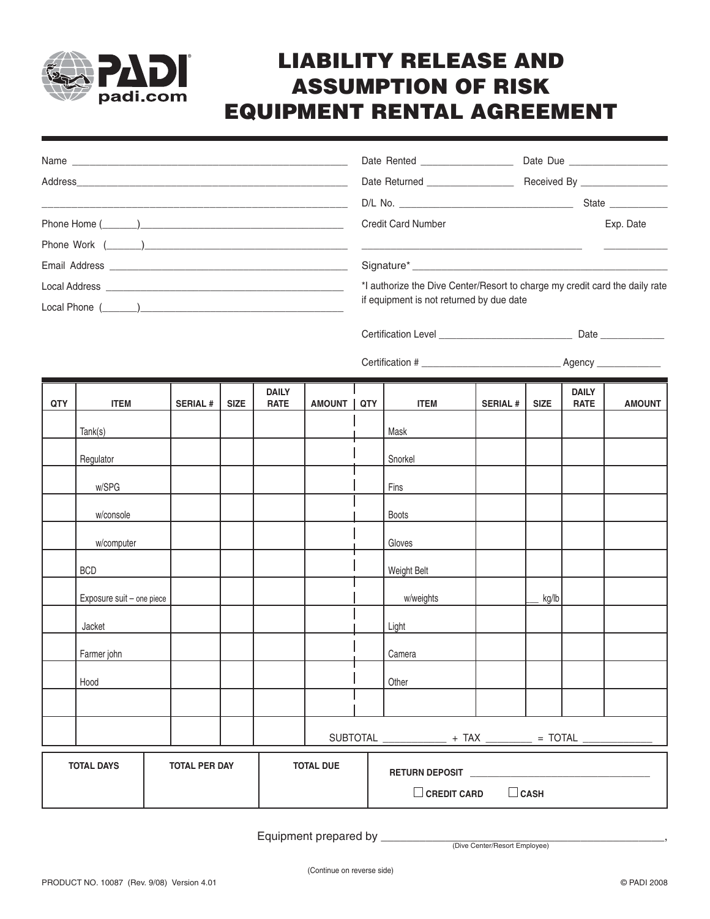

## **LIABILITY RELEASE AND ASSUMPTION OF RISK EQUIPMENT RENTAL AGREEMENT**

|            |             |                |             |                             |                 |       | <b>Credit Card Number</b>                                                                                               |                |             |                             | Exp. Date     |  |  |  |
|------------|-------------|----------------|-------------|-----------------------------|-----------------|-------|-------------------------------------------------------------------------------------------------------------------------|----------------|-------------|-----------------------------|---------------|--|--|--|
|            |             |                |             |                             |                 |       |                                                                                                                         |                |             |                             |               |  |  |  |
|            |             |                |             |                             |                 |       |                                                                                                                         |                |             |                             |               |  |  |  |
|            |             |                |             |                             |                 |       | *I authorize the Dive Center/Resort to charge my credit card the daily rate<br>if equipment is not returned by due date |                |             |                             |               |  |  |  |
|            |             |                |             |                             |                 |       |                                                                                                                         |                |             |                             |               |  |  |  |
|            |             |                |             |                             |                 |       |                                                                                                                         |                |             |                             |               |  |  |  |
| <b>QTY</b> | <b>ITEM</b> | <b>SERIAL#</b> | <b>SIZE</b> | <b>DAILY</b><br><b>RATE</b> | <b>AMOUNT I</b> | QTY I | <b>ITEM</b>                                                                                                             | <b>SERIAL#</b> | <b>SIZE</b> | <b>DAILY</b><br><b>RATE</b> | <b>AMOUNT</b> |  |  |  |
|            | Tank(s)     |                |             |                             |                 |       | Mask                                                                                                                    |                |             |                             |               |  |  |  |
|            | Regulator   |                |             |                             |                 |       | Snorkel                                                                                                                 |                |             |                             |               |  |  |  |
|            | w/SPG       |                |             |                             |                 |       | Fins                                                                                                                    |                |             |                             |               |  |  |  |
|            | w/console   |                |             |                             |                 |       | <b>Boots</b>                                                                                                            |                |             |                             |               |  |  |  |

| <b>TOTAL DAYS</b> |                           |  | <b>TOTAL PER DAY</b> |  |  | <b>TOTAL DUE</b> | RETURN DEPOSIT ______________<br>$\Box$ CASH<br>$\square$ CREDIT CARD |  |       |  |  |
|-------------------|---------------------------|--|----------------------|--|--|------------------|-----------------------------------------------------------------------|--|-------|--|--|
|                   |                           |  |                      |  |  |                  |                                                                       |  |       |  |  |
|                   |                           |  |                      |  |  |                  | SUBTOTAL ______________ + TAX _________ = TOTAL _____________         |  |       |  |  |
|                   |                           |  |                      |  |  |                  |                                                                       |  |       |  |  |
|                   | Hood                      |  |                      |  |  |                  | Other                                                                 |  |       |  |  |
|                   | Farmer john               |  |                      |  |  |                  | Camera                                                                |  |       |  |  |
|                   | Jacket                    |  |                      |  |  |                  | Light                                                                 |  |       |  |  |
|                   | Exposure suit - one piece |  |                      |  |  |                  | w/weights                                                             |  | kg/lb |  |  |
|                   | <b>BCD</b>                |  |                      |  |  |                  | Weight Belt                                                           |  |       |  |  |

w/computer and the contract of the contract of the contract of the contract of the contract of the contract of the contract of the contract of the contract of the contract of the contract of the contract of the contract of

Equipment prepared by

(Dive Center/Resort Employee)